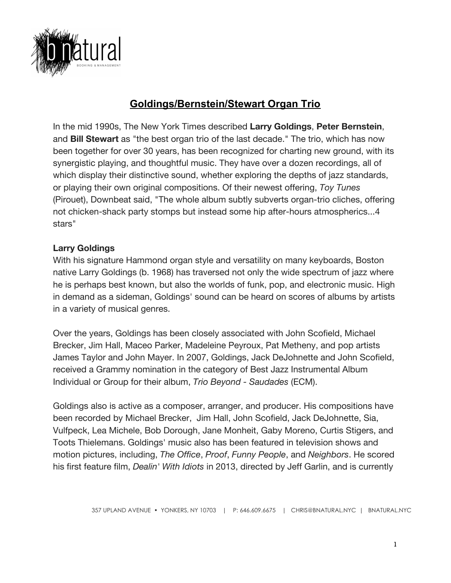

# **Goldings/Bernstein/Stewart Organ Trio**

In the mid 1990s, The New York Times described **Larry Goldings**, **Peter Bernstein**, and **Bill Stewart** as "the best organ trio of the last decade." The trio, which has now been together for over 30 years, has been recognized for charting new ground, with its synergistic playing, and thoughtful music. They have over a dozen recordings, all of which display their distinctive sound, whether exploring the depths of jazz standards, or playing their own original compositions. Of their newest offering, *Toy Tunes* (Pirouet), Downbeat said, "The whole album subtly subverts organ-trio cliches, offering not chicken-shack party stomps but instead some hip after-hours atmospherics...4 stars"

### **Larry Goldings**

With his signature Hammond organ style and versatility on many keyboards, Boston native Larry Goldings (b. 1968) has traversed not only the wide spectrum of jazz where he is perhaps best known, but also the worlds of funk, pop, and electronic music. High in demand as a sideman, Goldings' sound can be heard on scores of albums by artists in a variety of musical genres.

Over the years, Goldings has been closely associated with John Scofield, Michael Brecker, Jim Hall, Maceo Parker, Madeleine Peyroux, Pat Metheny, and pop artists James Taylor and John Mayer. In 2007, Goldings, Jack DeJohnette and John Scofield, received a Grammy nomination in the category of Best Jazz Instrumental Album Individual or Group for their album, *Trio Beyond - Saudades* (ECM).

Goldings also is active as a composer, arranger, and producer. His compositions have been recorded by Michael Brecker, Jim Hall, John Scofield, Jack DeJohnette, Sia, Vulfpeck, Lea Michele, Bob Dorough, Jane Monheit, Gaby Moreno, Curtis Stigers, and Toots Thielemans. Goldings' music also has been featured in television shows and motion pictures, including, *The Office*, *Proof*, *Funny People*, and *Neighbors*. He scored his first feature film, *Dealin' With Idiots* in 2013, directed by Jeff Garlin, and is currently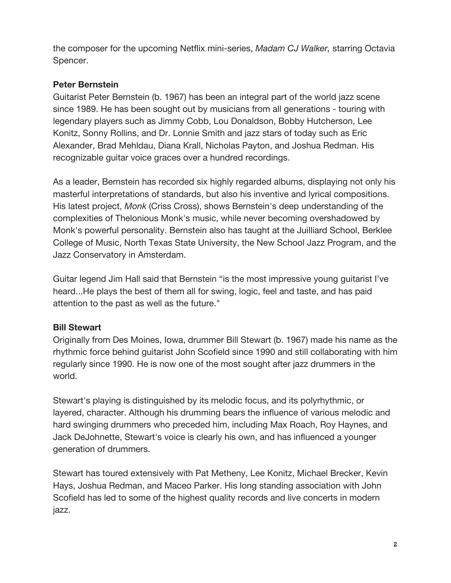the composer for the upcoming Netflix mini-series, *Madam CJ Walker,* starring Octavia Spencer.

#### **Peter Bernstein**

Guitarist Peter Bernstein (b. 1967) has been an integral part of the world jazz scene since 1989. He has been sought out by musicians from all generations - touring with legendary players such as Jimmy Cobb, Lou Donaldson, Bobby Hutcherson, Lee Konitz, Sonny Rollins, and Dr. Lonnie Smith and jazz stars of today such as Eric Alexander, Brad Mehldau, Diana Krall, Nicholas Payton, and Joshua Redman. His recognizable guitar voice graces over a hundred recordings.

As a leader, Bernstein has recorded six highly regarded albums, displaying not only his masterful interpretations of standards, but also his inventive and lyrical compositions. His latest project, *Monk* (Criss Cross), shows Bernstein's deep understanding of the complexities of Thelonious Monk's music, while never becoming overshadowed by Monk's powerful personality. Bernstein also has taught at the Juilliard School, Berklee College of Music, North Texas State University, the New School Jazz Program, and the Jazz Conservatory in Amsterdam.

Guitar legend Jim Hall said that Bernstein "is the most impressive young guitarist I've heard...He plays the best of them all for swing, logic, feel and taste, and has paid attention to the past as well as the future."

### **Bill Stewart**

Originally from Des Moines, Iowa, drummer Bill Stewart (b. 1967) made his name as the rhythmic force behind guitarist John Scofield since 1990 and still collaborating with him regularly since 1990. He is now one of the most sought after jazz drummers in the world.

Stewart's playing is distinguished by its melodic focus, and its polyrhythmic, or layered, character. Although his drumming bears the influence of various melodic and hard swinging drummers who preceded him, including Max Roach, Roy Haynes, and Jack DeJohnette, Stewart's voice is clearly his own, and has influenced a younger generation of drummers.

Stewart has toured extensively with Pat Metheny, Lee Konitz, Michael Brecker, Kevin Hays, Joshua Redman, and Maceo Parker. His long standing association with John Scofield has led to some of the highest quality records and live concerts in modern jazz.